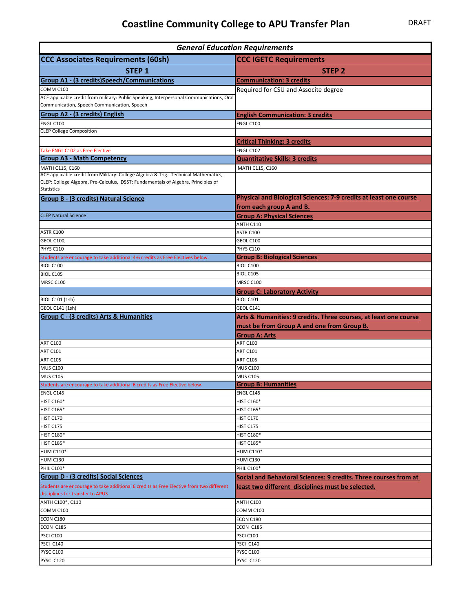| <b>General Education Requirements</b>                                                                                       |                                                                   |
|-----------------------------------------------------------------------------------------------------------------------------|-------------------------------------------------------------------|
| <b>CCC Associates Requirements (60sh)</b>                                                                                   | <b>CCC IGETC Requirements</b>                                     |
| <b>STEP 1</b>                                                                                                               | <b>STEP 2</b>                                                     |
| <b>Group A1 - (3 credits)Speech/Communications</b>                                                                          | <b>Communication: 3 credits</b>                                   |
| COMM C100                                                                                                                   | Required for CSU and Associte degree                              |
| ACE applicable credit from military: Public Speaking, Interpersonal Communications, Oral                                    |                                                                   |
| Communication, Speech Communication, Speech                                                                                 |                                                                   |
| <b>Group A2 - (3 credits) English</b>                                                                                       | <b>English Communication: 3 credits</b>                           |
| ENGL C100                                                                                                                   | <b>ENGL C100</b>                                                  |
| <b>CLEP College Composition</b>                                                                                             |                                                                   |
|                                                                                                                             | <b>Critical Thinking: 3 credits</b>                               |
| Take ENGL C102 as Free Elective<br><b>Group A3 - Math Competency</b>                                                        | <b>ENGL C102</b><br><b>Quantitative Skills: 3 credits</b>         |
| MATH C115, C160                                                                                                             | MATH C115, C160                                                   |
| ACE applicable credit from Military: College Algebra & Trig. Technical Mathematics,                                         |                                                                   |
| CLEP: College Algebra, Pre-Calculus, DSST: Fundamentals of Algebra, Principles of                                           |                                                                   |
| <b>Statistics</b>                                                                                                           | Physical and Biological Sciences: 7-9 credits at least one course |
| <b>Group B - (3 credits) Natural Science</b>                                                                                | from each group A and B.                                          |
| <b>CLEP Natural Science</b>                                                                                                 | <b>Group A: Physical Sciences</b>                                 |
|                                                                                                                             | ANTH C110                                                         |
| ASTR C100                                                                                                                   | ASTR C100                                                         |
| <b>GEOL C100,</b>                                                                                                           | GEOL C100                                                         |
| PHYS C110                                                                                                                   | <b>PHYS C110</b>                                                  |
| Students are encourage to take additional 4-6 credits as Free Electives below.                                              | <b>Group B: Biological Sciences</b>                               |
| BIOL C100                                                                                                                   | BIOL C100                                                         |
| <b>BIOL C105</b><br>MRSC C100                                                                                               | <b>BIOL C105</b><br><b>MRSC C100</b>                              |
|                                                                                                                             | <b>Group C: Laboratory Activity</b>                               |
| <b>BIOL C101 (1sh)</b>                                                                                                      | <b>BIOL C101</b>                                                  |
| GEOL C141 (1sh)                                                                                                             | GEOL C141                                                         |
| <b>Group C - (3 credits) Arts &amp; Humanities</b>                                                                          | Arts & Humanities: 9 credits. Three courses, at least one course  |
|                                                                                                                             | must be from Group A and one from Group B.                        |
|                                                                                                                             | <b>Group A: Arts</b>                                              |
| ART C100                                                                                                                    | <b>ART C100</b>                                                   |
| <b>ART C101</b>                                                                                                             | <b>ART C101</b>                                                   |
| <b>ART C105</b><br><b>MUS C100</b>                                                                                          | <b>ART C105</b><br><b>MUS C100</b>                                |
| <b>MUS C105</b>                                                                                                             | <b>MUS C105</b>                                                   |
| Students are encourage to take additional 6 credits as Free Elective below.                                                 | <b>Group B: Humanities</b>                                        |
| ENGL C145                                                                                                                   | ENGL C145                                                         |
| <b>HIST C160*</b>                                                                                                           |                                                                   |
|                                                                                                                             | <b>HIST C160*</b>                                                 |
| <b>HIST C165*</b>                                                                                                           | <b>HIST C165*</b>                                                 |
| HIST C170                                                                                                                   | HIST C170                                                         |
| HIST C175                                                                                                                   | <b>HIST C175</b>                                                  |
| HIST C180*                                                                                                                  | <b>HIST C180*</b>                                                 |
| <b>HIST C185*</b><br><b>HUM C110*</b>                                                                                       | <b>HIST C185*</b><br><b>HUM C110*</b>                             |
| <b>HUM C130</b>                                                                                                             | <b>HUM C130</b>                                                   |
| <b>PHIL C100*</b>                                                                                                           | PHIL C100*                                                        |
| <b>Group D - (3 credits) Social Sciences</b>                                                                                | Social and Behavioral Sciences: 9 credits. Three courses from at  |
| Students are encourage to take additional 6 credits as Free Elective from two different<br>disciplines for transfer to APUS | least two different disciplines must be selected.                 |
| ANTH C100*, C110                                                                                                            | ANTH C100                                                         |
| COMM C100                                                                                                                   | COMM C100                                                         |
| ECON C180                                                                                                                   | ECON C180                                                         |
| ECON C185                                                                                                                   | ECON C185                                                         |
| PSCI C100                                                                                                                   | PSCI C100                                                         |
| PSCI C140<br>PYSC C100                                                                                                      | PSCI C140<br>PYSC C100                                            |